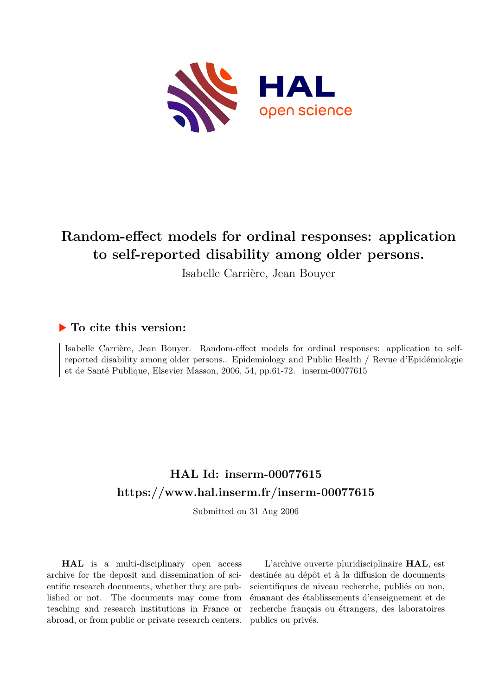

# **Random-effect models for ordinal responses: application to self-reported disability among older persons.**

Isabelle Carrière, Jean Bouyer

## **To cite this version:**

Isabelle Carrière, Jean Bouyer. Random-effect models for ordinal responses: application to selfreported disability among older persons.. Epidemiology and Public Health / Revue d'Epidémiologie et de Santé Publique, Elsevier Masson, 2006, 54, pp.61-72. inserm-00077615

# **HAL Id: inserm-00077615 <https://www.hal.inserm.fr/inserm-00077615>**

Submitted on 31 Aug 2006

**HAL** is a multi-disciplinary open access archive for the deposit and dissemination of scientific research documents, whether they are published or not. The documents may come from teaching and research institutions in France or abroad, or from public or private research centers.

L'archive ouverte pluridisciplinaire **HAL**, est destinée au dépôt et à la diffusion de documents scientifiques de niveau recherche, publiés ou non, émanant des établissements d'enseignement et de recherche français ou étrangers, des laboratoires publics ou privés.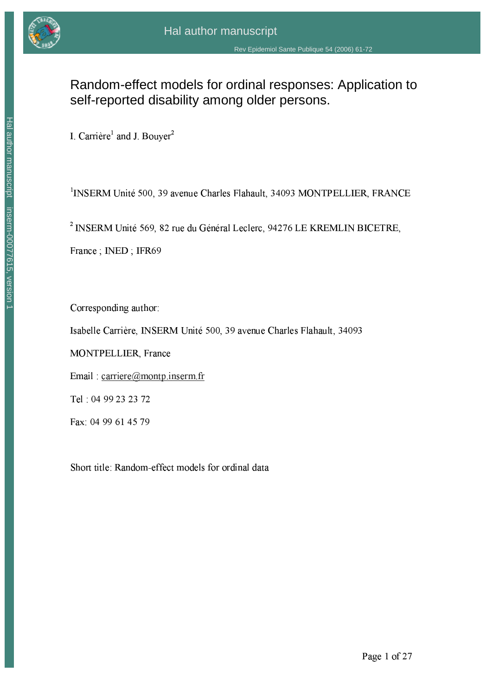

## Random-effect models for ordinal responses: Application to self-reported disability among older persons.

I. Carrière<sup>1</sup> and J. Bouyer<sup>2</sup>

<sup>1</sup>INSERM Unité 500, 39 avenue Charles Flahault, 34093 MONTPELLIER, FRANCE

<sup>2</sup> INSERM Unité 569, 82 rue du Général Leclerc, 94276 LE KREMLIN BICETRE,

France; INED; IFR69

Corresponding author:

Isabelle Carrière, INSERM Unité 500, 39 avenue Charles Flahault, 34093

MONTPELLIER, France

Email: carriere@montp.inserm.fr

Tel: 04 99 23 23 72

Fax: 04 99 61 45 79

Short title: Random-effect models for ordinal data

Page 1 of 27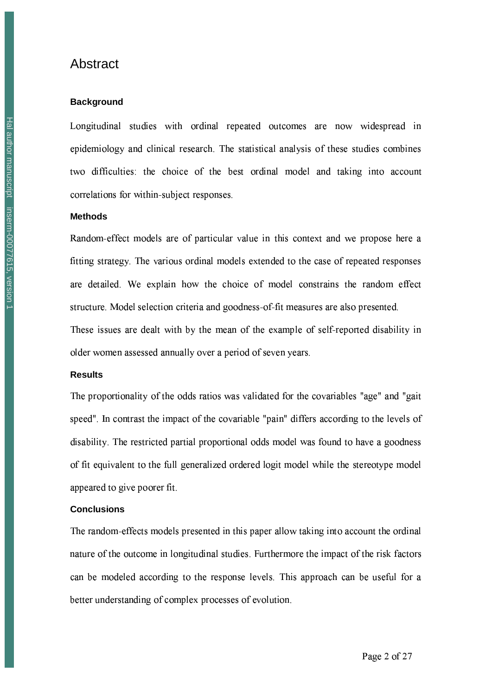## Abstract

#### **Background**

Longitudinal studies with ordinal repeated outcomes are now widespread in epidemiology and clinical research. The statistical analysis of these studies combines two difficulties: the choice of the best ordinal model and taking into account correlations for within-subject responses.

#### **Methods**

Random-effect models are of particular value in this context and we propose here a fitting strategy. The various ordinal models extended to the case of repeated responses are detailed. We explain how the choice of model constrains the random effect structure. Model selection criteria and goodness-of-fit measures are also presented. These issues are dealt with by the mean of the example of self-reported disability in older women assessed annually over a period of seven years.

#### **Results**

The proportionality of the odds ratios was validated for the covariables "age" and "gait speed". In contrast the impact of the covariable "pain" differs according to the levels of disability. The restricted partial proportional odds model was found to have a goodness of fit equivalent to the full generalized ordered logit model while the stereotype model appeared to give poorer fit.

#### **Conclusions**

The random-effects models presented in this paper allow taking into account the ordinal nature of the outcome in longitudinal studies. Furthermore the impact of the risk factors can be modeled according to the response levels. This approach can be useful for a better understanding of complex processes of evolution.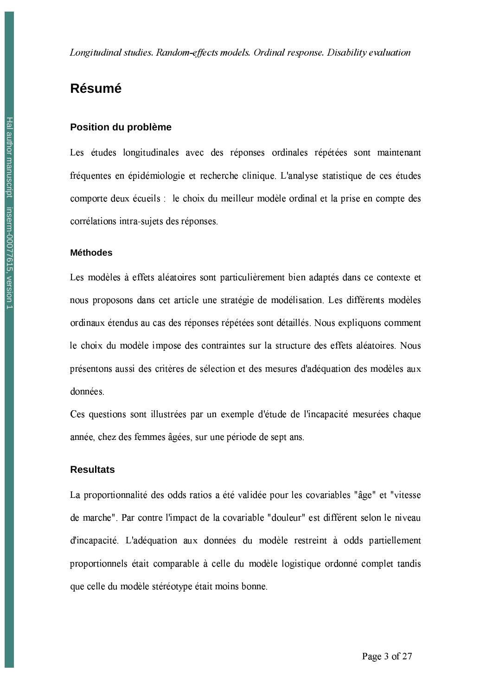## **Résumé**

#### Position du problème

Les études longitudinales avec des réponses ordinales répétées sont maintenant fréquentes en épidémiologie et recherche clinique. L'analyse statistique de ces études comporte deux écueils : le choix du meilleur modèle ordinal et la prise en compte des corrélations intra-sujets des réponses.

#### **Méthodes**

Les modèles à effets aléatoires sont particulièrement bien adaptés dans ce contexte et nous proposons dans cet article une stratégie de modélisation. Les différents modèles ordinaux étendus au cas des réponses répétées sont détaillés. Nous expliquons comment le choix du modèle impose des contraintes sur la structure des effets aléatoires. Nous présentons aussi des critères de sélection et des mesures d'adéquation des modèles aux données.

Ces questions sont illustrées par un exemple d'étude de l'incapacité mesurées chaque année, chez des femmes âgées, sur une période de sept ans.

#### **Resultats**

La proportionnalité des odds ratios a été validée pour les covariables "âge" et "vitesse de marche". Par contre l'impact de la covariable "douleur" est différent selon le niveau d'incapacité. L'adéquation aux données du modèle restreint à odds partiellement proportionnels était comparable à celle du modèle logistique ordonné complet tandis que celle du modèle stéréotype était moins bonne.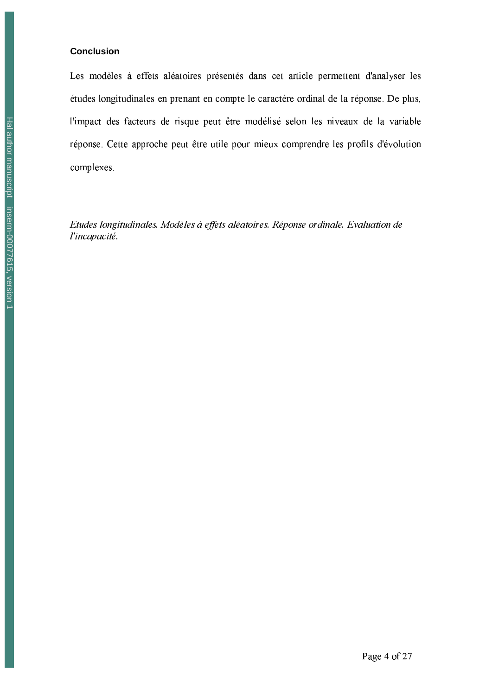#### **Conclusion**

Les modèles à effets aléatoires présentés dans cet article permettent d'analyser les études longitudinales en prenant en compte le caractère ordinal de la réponse. De plus, l'impact des facteurs de risque peut être modélisé selon les niveaux de la variable réponse. Cette approche peut être utile pour mieux comprendre les profils d'évolution complexes.

Etudes longitudinales. Modèles à effets aléatoires. Réponse ordinale. Evaluation de l'incapacité.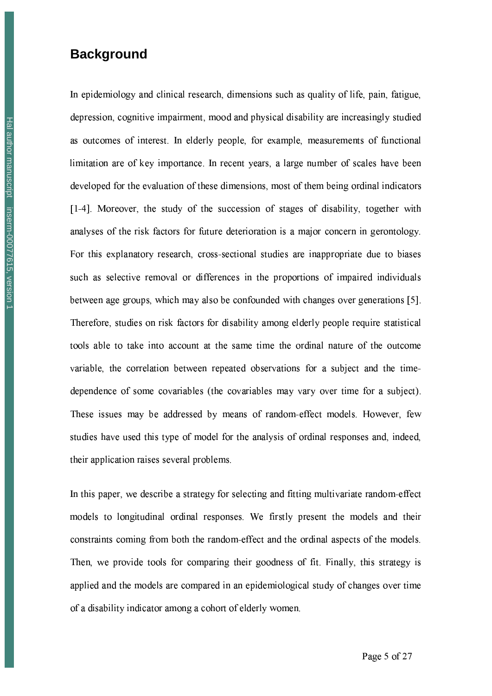## **Background**

In epidemiology and clinical research, dimensions such as quality of life, pain, fatigue, depression, cognitive impairment, mood and physical disability are increasingly studied as outcomes of interest. In elderly people, for example, measurements of functional limitation are of key importance. In recent years, a large number of scales have been developed for the evaluation of these dimensions, most of them being ordinal indicators [1-4]. Moreover, the study of the succession of stages of disability, together with analyses of the risk factors for future deterioration is a major concern in gerontology. For this explanatory research, cross-sectional studies are inappropriate due to biases such as selective removal or differences in the proportions of impaired individuals between age groups, which may also be confounded with changes over generations [5]. Therefore, studies on risk factors for disability among elderly people require statistical tools able to take into account at the same time the ordinal nature of the outcome variable, the correlation between repeated observations for a subject and the timedependence of some covariables (the covariables may vary over time for a subject). These issues may be addressed by means of random-effect models. However, few studies have used this type of model for the analysis of ordinal responses and, indeed, their application raises several problems.

In this paper, we describe a strategy for selecting and fitting multivariate random-effect models to longitudinal ordinal responses. We firstly present the models and their constraints coming from both the random-effect and the ordinal aspects of the models. Then, we provide tools for comparing their goodness of fit. Finally, this strategy is applied and the models are compared in an epidemiological study of changes over time of a disability indicator among a cohort of elderly women.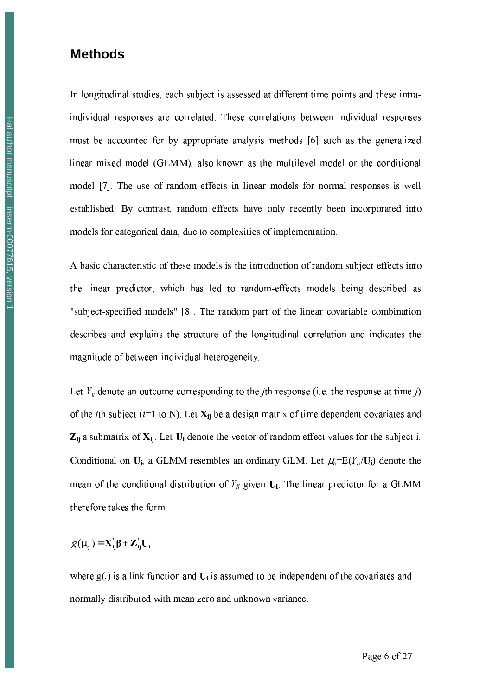## **Methods**

In longitudinal studies, each subject is assessed at different time points and these intraindividual responses are correlated. These correlations between individual responses must be accounted for by appropriate analysis methods [6] such as the generalized linear mixed model (GLMM), also known as the multilevel model or the conditional model [7]. The use of random effects in linear models for normal responses is well established. By contrast, random effects have only recently been incorporated into models for categorical data, due to complexities of implementation.

A basic characteristic of these models is the introduction of random subject effects into the linear predictor, which has led to random-effects models being described as "subject-specified models" [8]. The random part of the linear covariable combination describes and explains the structure of the longitudinal correlation and indicates the magnitude of between-individual heterogeneity.

Let  $Y_{ij}$  denote an outcome corresponding to the *j*th response (i.e. the response at time *j*) of the *i*th subject ( $i=1$  to N). Let  $X_{ij}$  be a design matrix of time dependent covariates and  $Z_{ij}$  a submatrix of  $X_{ij}$ . Let  $U_i$  denote the vector of random effect values for the subject i. Conditional on  $U_i$ , a GLMM resembles an ordinary GLM. Let  $\mu_i=E(Y_i/U_i)$  denote the mean of the conditional distribution of  $Y_{ij}$  given  $U_i$ . The linear predictor for a GLMM therefore takes the form:

$$
g(\mu_{ij}) = \mathbf{X}_{ij}\boldsymbol{\beta} + \mathbf{Z}_{ij}\mathbf{U}_{i}
$$

where  $g(.)$  is a link function and  $U_i$  is assumed to be independent of the covariates and normally distributed with mean zero and unknown variance.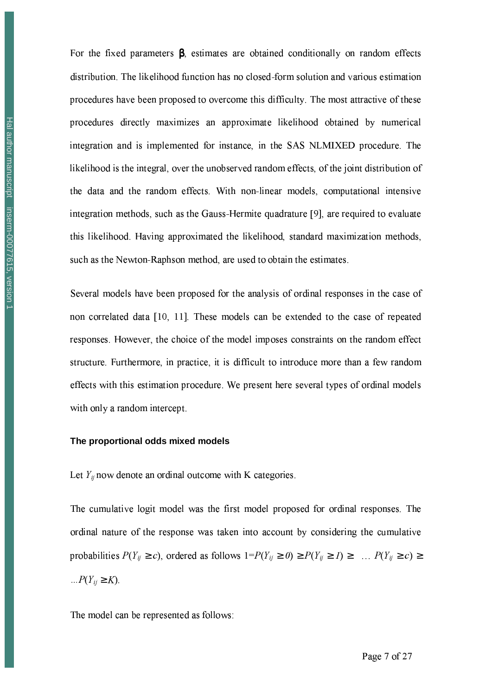For the fixed parameters  $\beta$ , estimates are obtained conditionally on random effects distribution. The likelihood function has no closed-form solution and various estimation procedures have been proposed to overcome this difficulty. The most attractive of these procedures directly maximizes an approximate likelihood obtained by numerical integration and is implemented for instance, in the SAS NLMIXED procedure. The likelihood is the integral, over the unobserved random effects, of the joint distribution of the data and the random effects. With non-linear models, computational intensive integration methods, such as the Gauss-Hermite quadrature [9], are required to evaluate this likelihood. Having approximated the likelihood, standard maximization methods, such as the Newton-Raphson method, are used to obtain the estimates.

Several models have been proposed for the analysis of ordinal responses in the case of non correlated data [10, 11]. These models can be extended to the case of repeated responses. However, the choice of the model imposes constraints on the random effect structure. Furthermore, in practice, it is difficult to introduce more than a few random effects with this estimation procedure. We present here several types of ordinal models with only a random intercept.

#### The proportional odds mixed models

Let  $Y_{ij}$  now denote an ordinal outcome with K categories.

The cumulative logit model was the first model proposed for ordinal responses. The ordinal nature of the response was taken into account by considering the cumulative probabilities  $P(Y_{ij} \ge c)$ , ordered as follows  $1 = P(Y_{ij} \ge 0) \ge P(Y_{ij} \ge 1) \ge ... P(Y_{ij} \ge c) \ge$  $\ldots P(Y_{ij} \geq K)$ .

The model can be represented as follows: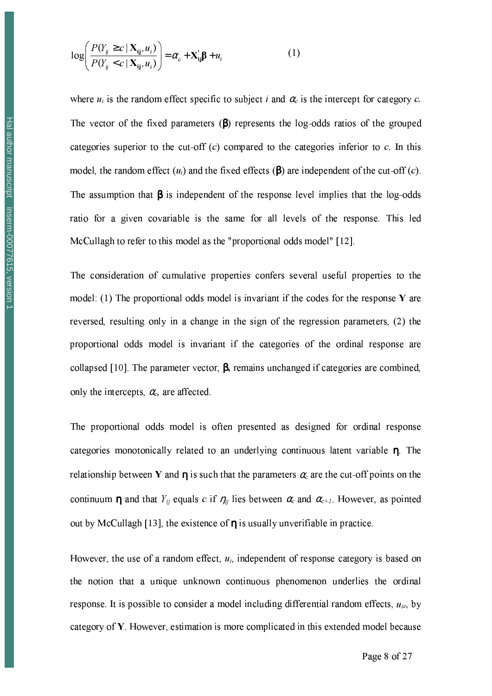$$
\log \left( \frac{P(Y_{ij} \ge c \mid \mathbf{X}_{ij}, u_i)}{P(Y_{ij} < c \mid \mathbf{X}_{ij}, u_i)} \right) = \alpha_c + \mathbf{X}_{ij}' \boldsymbol{\beta} + u_i \tag{1}
$$

where  $u_i$  is the random effect specific to subject i and  $\alpha_c$  is the intercept for category c. The vector of the fixed parameters  $(\beta)$  represents the log-odds ratios of the grouped categories superior to the cut-off  $(c)$  compared to the categories inferior to  $c$ . In this model, the random effect  $(u_i)$  and the fixed effects ( $\beta$ ) are independent of the cut-off (c). The assumption that  $\beta$  is independent of the response level implies that the log-odds ratio for a given covariable is the same for all levels of the response. This led McCullagh to refer to this model as the "proportional odds model" [12].

The consideration of cumulative properties confers several useful properties to the model: (1) The proportional odds model is invariant if the codes for the response  $\bf{Y}$  are reversed, resulting only in a change in the sign of the regression parameters, (2) the proportional odds model is invariant if the categories of the ordinal response are collapsed [10]. The parameter vector,  $\beta$ , remains unchanged if categories are combined, only the intercepts,  $\alpha_c$ , are affected.

The proportional odds model is often presented as designed for ordinal response categories monotonically related to an underlying continuous latent variable  $\eta$ . The relationship between Y and  $\eta$  is such that the parameters  $\alpha_c$  are the cut-off points on the continuum  $\eta$  and that  $Y_{ij}$  equals c if  $\eta_{ij}$  lies between  $\alpha_c$  and  $\alpha_{c+1}$ . However, as pointed out by McCullagh [13], the existence of  $\eta$  is usually unverifiable in practice.

However, the use of a random effect,  $u_i$ , independent of response category is based on the notion that a unique unknown continuous phenomenon underlies the ordinal response. It is possible to consider a model including differential random effects,  $u_{ic}$ , by category of Y. However, estimation is more complicated in this extended model because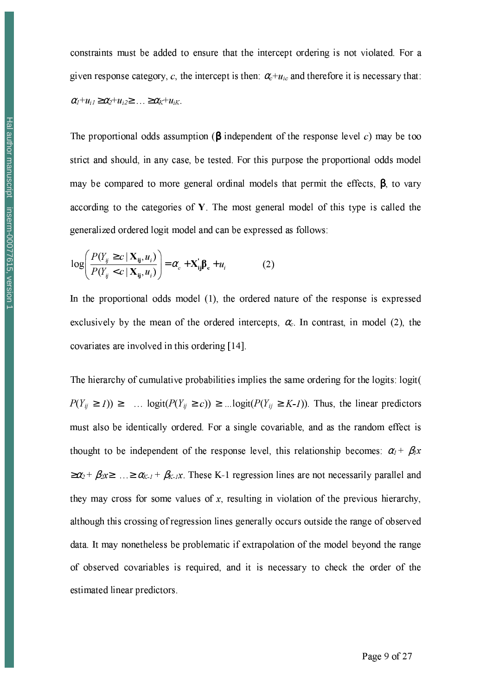constraints must be added to ensure that the intercept ordering is not violated. For a given response category, c, the intercept is then:  $\alpha_c + u_{ic}$  and therefore it is necessary that:  $\alpha_1+u_{i1}\geq \alpha_2+u_{i2}\geq \ldots \geq \alpha_k+u_{iK}$ 

The proportional odds assumption ( $\beta$  independent of the response level c) may be too strict and should, in any case, be tested. For this purpose the proportional odds model may be compared to more general ordinal models that permit the effects,  $\beta$ , to vary according to the categories of  $Y$ . The most general model of this type is called the generalized ordered logit model and can be expressed as follows:

$$
\log \left( \frac{P(Y_{ij} \ge c \mid \mathbf{X}_{ij}, u_i)}{P(Y_{ij} < c \mid \mathbf{X}_{ij}, u_i)} \right) = \alpha_c + \mathbf{X}_{ij} \boldsymbol{\beta}_c + u_i \tag{2}
$$

In the proportional odds model (1), the ordered nature of the response is expressed exclusively by the mean of the ordered intercepts,  $\alpha_c$ . In contrast, in model (2), the covariates are involved in this ordering [14].

The hierarchy of cumulative probabilities implies the same ordering for the logits: logit(  $P(Y_{ij} \ge I)) \ge \dots \logit(P(Y_{ij} \ge c)) \ge \dots \logit(P(Y_{ij} \ge K-I)).$  Thus, the linear predictors must also be identically ordered. For a single covariable, and as the random effect is thought to be independent of the response level, this relationship becomes:  $\alpha_1 + \beta_1 x$  $\geq \alpha_2 + \beta_2$ x  $\geq \alpha_{K-1} + \beta_{K-1}$ x. These K-1 regression lines are not necessarily parallel and they may cross for some values of x, resulting in violation of the previous hierarchy, although this crossing of regression lines generally occurs outside the range of observed data. It may nonetheless be problematic if extrapolation of the model beyond the range of observed covariables is required, and it is necessary to check the order of the estimated linear predictors.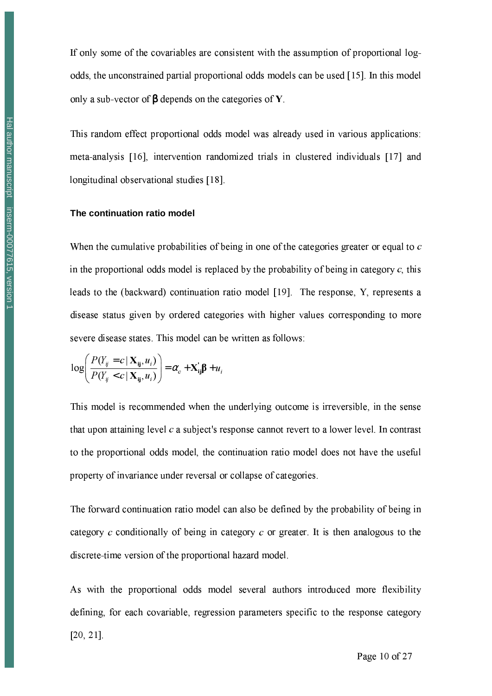This random effect proportional odds model was already used in various applications: meta-analysis [16], intervention randomized trials in clustered individuals [17] and longitudinal observational studies [18].

#### The continuation ratio model

When the cumulative probabilities of being in one of the categories greater or equal to c in the proportional odds model is replaced by the probability of being in category  $c$ , this leads to the (backward) continuation ratio model [19]. The response, Y, represents a disease status given by ordered categories with higher values corresponding to more severe disease states. This model can be written as follows:

$$
\log \left( \frac{P(Y_{ij} = c \mid \mathbf{X}_{ij}, u_i)}{P(Y_{ij} < c \mid \mathbf{X}_{ij}, u_i)} \right) = \alpha_c + \mathbf{X}_{ij}' \boldsymbol{\beta} + u_i
$$

This model is recommended when the underlying outcome is irreversible, in the sense that upon attaining level  $c$  a subject's response cannot revert to a lower level. In contrast to the proportional odds model, the continuation ratio model does not have the useful property of invariance under reversal or collapse of categories.

The forward continuation ratio model can also be defined by the probability of being in category c conditionally of being in category c or greater. It is then analogous to the discrete-time version of the proportional hazard model.

As with the proportional odds model several authors introduced more flexibility defining, for each covariable, regression parameters specific to the response category  $[20, 21]$ .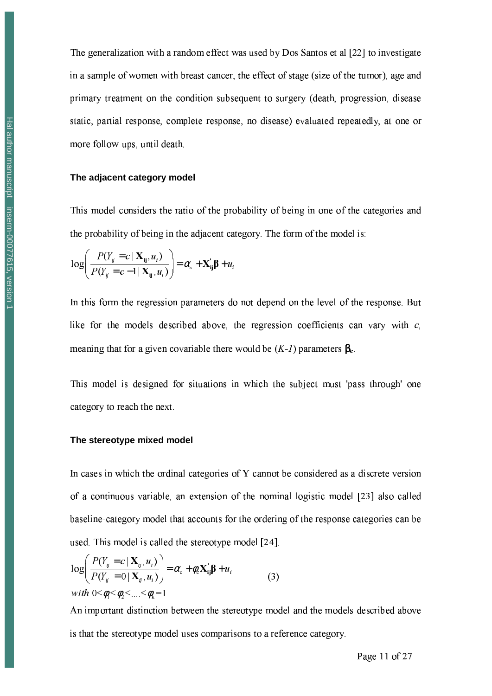The generalization with a random effect was used by Dos Santos et al [22] to investigate in a sample of women with breast cancer, the effect of stage (size of the tumor), age and primary treatment on the condition subsequent to surgery (death, progression, disease static, partial response, complete response, no disease) evaluated repeatedly, at one or more follow-ups, until death.

#### The adiacent category model

This model considers the ratio of the probability of being in one of the categories and the probability of being in the adjacent category. The form of the model is:

$$
\log \left( \frac{P(Y_{ij} = c \mid \mathbf{X}_{ij}, u_i)}{P(Y_{ij} = c - 1 \mid \mathbf{X}_{ij}, u_i)} \right) = \alpha_c + \mathbf{X}_{ij} \boldsymbol{\beta} + u_i
$$

In this form the regression parameters do not depend on the level of the response. But like for the models described above, the regression coefficients can vary with  $c$ . meaning that for a given covariable there would be  $(K-1)$  parameters  $\beta_c$ .

This model is designed for situations in which the subject must 'pass through' one category to reach the next.

#### The stereotype mixed model

In cases in which the ordinal categories of Y cannot be considered as a discrete version of a continuous variable, an extension of the nominal logistic model [23] also called baseline-category model that accounts for the ordering of the response categories can be used. This model is called the stereotype model [24].

$$
\log\left(\frac{P(Y_{ij}=c \mid \mathbf{X}_{ij}, u_i)}{P(Y_{ij}=0 \mid \mathbf{X}_{ij}, u_i)}\right) = \alpha_c + \phi_c \mathbf{X}_{ij} \boldsymbol{\beta} + u_i
$$
\n
$$
\text{with } 0 \leq \phi_i \leq \phi_2 \leq \ldots \leq \phi_k = 1 \tag{3}
$$

An important distinction between the stereotype model and the models described above is that the stereotype model uses comparisons to a reference category.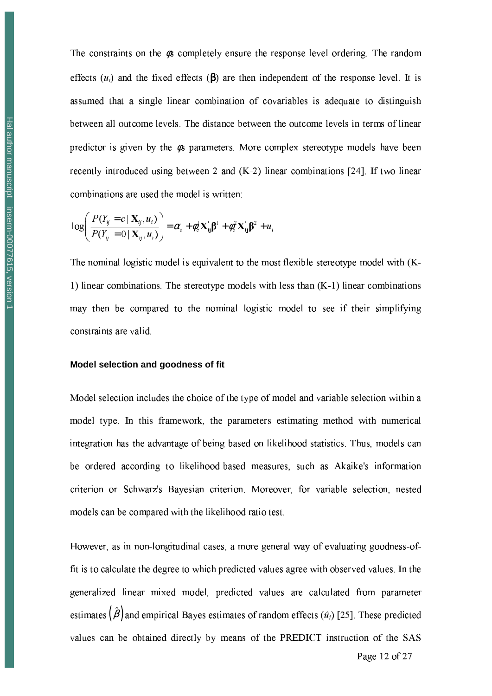The constraints on the  $\phi$ s completely ensure the response level ordering. The random effects  $(u_i)$  and the fixed effects ( $\beta$ ) are then independent of the response level. It is assumed that a single linear combination of covariables is adequate to distinguish between all outcome levels. The distance between the outcome levels in terms of linear predictor is given by the  $\phi$ s parameters. More complex stereotype models have been recently introduced using between 2 and (K-2) linear combinations [24]. If two linear combinations are used the model is written:

$$
\log \left( \frac{P(Y_{ij} = c \mid \mathbf{X}_{ij}, u_i)}{P(Y_{ij} = 0 \mid \mathbf{X}_{ij}, u_i)} \right) = \alpha_c + \phi_c^1 \mathbf{X}_{ij} \mathbf{\beta}^1 + \phi_c^2 \mathbf{X}_{ij} \mathbf{\beta}^2 + u_i
$$

The nominal logistic model is equivalent to the most flexible stereotype model with (K-1) linear combinations. The stereotype models with less than  $(K-1)$  linear combinations may then be compared to the nominal logistic model to see if their simplifying constraints are valid.

#### Model selection and goodness of fit

Model selection includes the choice of the type of model and variable selection within a model type. In this framework, the parameters estimating method with numerical integration has the advantage of being based on likelihood statistics. Thus, models can be ordered according to likelihood-based measures, such as Akaike's information criterion or Schwarz's Bayesian criterion. Moreover, for variable selection, nested models can be compared with the likelihood ratio test.

However, as in non-longitudinal cases, a more general way of evaluating goodness-offit is to calculate the degree to which predicted values agree with observed values. In the generalized linear mixed model, predicted values are calculated from parameter estimates  $(\hat{\beta})$  and empirical Bayes estimates of random effects  $(\hat{u}_i)$  [25]. These predicted values can be obtained directly by means of the PREDICT instruction of the SAS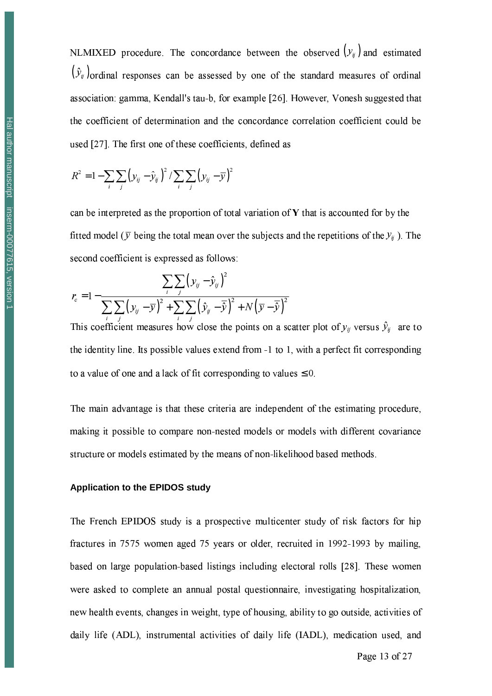NLMIXED procedure. The concordance between the observed  $(y_{ij})$  and estimated  $(\hat{y}_y)$  ordinal responses can be assessed by one of the standard measures of ordinal association: gamma, Kendall's tau-b, for example [26]. However, Vonesh suggested that the coefficient of determination and the concordance correlation coefficient could be used [27]. The first one of these coefficients, defined as

$$
R^2 = 1 - \sum_i \sum_j \left( y_{ij} - \hat{y}_{ij} \right)^2 / \sum_i \sum_j \left( y_{ij} - \overline{y} \right)^2
$$

can be interpreted as the proportion of total variation of  $\bf{Y}$  that is accounted for by the fitted model ( $\bar{y}$  being the total mean over the subjects and the repetitions of the  $y_{ij}$ ). The second coefficient is expressed as follows:

$$
r_c = 1 - \frac{\sum_{i} \sum_{j} (y_{ij} - \hat{y}_{ij})^2}{\sum_{i} \sum_{j} (y_{ij} - \overline{y})^2 + \sum_{i} \sum_{j} (\hat{y}_{ij} - \overline{\hat{y}})^2 + N(\overline{y} - \overline{\hat{y}})^2}
$$

This coefficient measures how close the points on a scatter plot of  $y_{ij}$  versus  $\hat{y}_{ij}$  are to the identity line. Its possible values extend from -1 to 1, with a perfect fit corresponding to a value of one and a lack of fit corresponding to values  $\leq 0$ .

The main advantage is that these criteria are independent of the estimating procedure, making it possible to compare non-nested models or models with different covariance structure or models estimated by the means of non-likelihood based methods.

#### **Application to the EPIDOS study**

The French EPIDOS study is a prospective multicenter study of risk factors for hip fractures in 7575 women aged 75 years or older, recruited in 1992-1993 by mailing, based on large population-based listings including electoral rolls [28]. These women were asked to complete an annual postal questionnaire, investigating hospitalization, new health events, changes in weight, type of housing, ability to go outside, activities of daily life (ADL), instrumental activities of daily life (IADL), medication used, and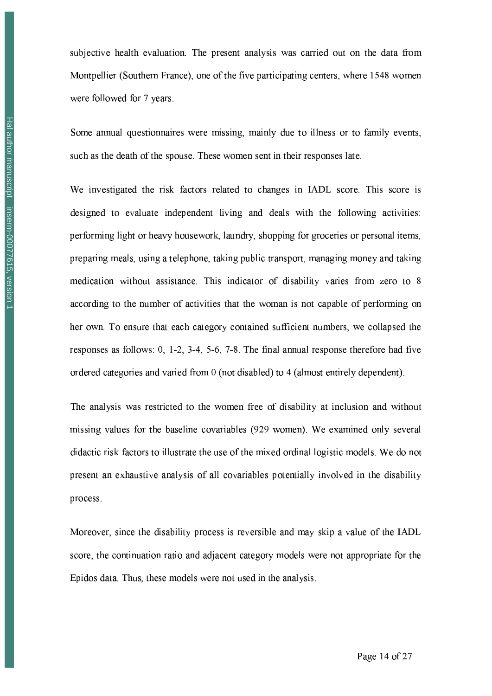subjective health evaluation. The present analysis was carried out on the data from Montpellier (Southern France), one of the five participating centers, where 1548 women were followed for 7 years.

Some annual questionnaires were missing, mainly due to illness or to family events, such as the death of the spouse. These women sent in their responses late.

We investigated the risk factors related to changes in IADL score. This score is designed to evaluate independent living and deals with the following activities: performing light or heavy housework, laundry, shopping for groceries or personal items, preparing meals, using a telephone, taking public transport, managing money and taking medication without assistance. This indicator of disability varies from zero to 8 according to the number of activities that the woman is not capable of performing on her own. To ensure that each category contained sufficient numbers, we collapsed the responses as follows: 0, 1-2, 3-4, 5-6, 7-8. The final annual response therefore had five ordered categories and varied from 0 (not disabled) to 4 (almost entirely dependent).

The analysis was restricted to the women free of disability at inclusion and without missing values for the baseline covariables (929 women). We examined only several didactic risk factors to illustrate the use of the mixed ordinal logistic models. We do not present an exhaustive analysis of all covariables potentially involved in the disability process.

Moreover, since the disability process is reversible and may skip a value of the IADL score, the continuation ratio and adjacent category models were not appropriate for the Epidos data. Thus, these models were not used in the analysis.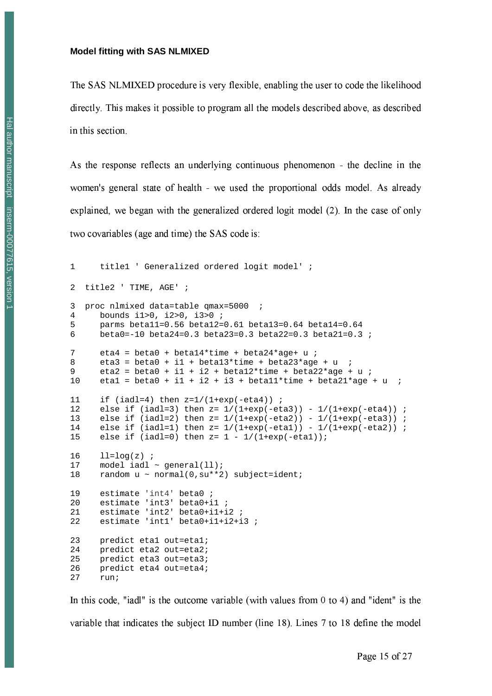#### **Model fitting with SAS NLMIXED**

The SAS NLMIXED procedure is very flexible, enabling the user to code the likelihood directly. This makes it possible to program all the models described above, as described in this section.

As the response reflects an underlying continuous phenomenon - the decline in the women's general state of health - we used the proportional odds model. As already explained, we began with the generalized ordered logit model (2). In the case of only two covariables (age and time) the SAS code is:

```
\mathbf{1}title1 ' Generalized ordered logit model' ;
2 title2 ' TIME, AGE' ;
3 proc nlmixed data=table qmax=5000
\overline{4}bounds i1>0, i2>0, i3>0;
\sqrt{2}parms betall=0.56 betal2=0.61 betal3=0.64 betal4=0.64
      beta0 = -10 beta24=0.3 beta23=0.3 beta22=0.3 beta21=0.3 ;
6
7\overline{ }eta4 = beta0 + beta14*time + beta24*age+ u ;
      eta3 = beta0 + i1 + beta13*time + beta23*age + u
\mathsf{R}eta2 = beta0 + i1 + i2 + beta12*time + beta22*age + u ;
9
10etal = beta0 + i1 + i2 + i3 + betall*time + beta21*age + u ;
11if (iad1=4) then z=1/(1+exp(-eta4));
12<sup>°</sup>else if (iadl=3) then z = 1/(1+exp(-eta3)) - 1/(1+exp(-eta4)) ;
     else if (iadl=2) then z = 1/(1+exp(-eta2)) - 1/(1+exp(-eta3)) ;
13
     else if (iadl=1) then z = 1/(1+exp(-eta1)) - 1/(1+exp(-eta2)) ;
14
      else if (iadl=0) then z = 1 - 1/(1+exp(-eta1));15
16
      ll = log(z);
17model iadl \sim general(11);
18
      random u ~ normal(0, su**2) subject=ident;
19
     estimate 'int4' beta0 ;
     estimate 'int3' beta0+i1;
20
     estimate 'int2' beta0+i1+i2 ;
21
      estimate 'int1' beta0+i1+i2+i3 ;
2.223
     predict etal out=etal;
24predict eta2 out=eta2;
25predict eta3 out=eta3;
26predict eta4 out=eta4;
2.7run;
```
In this code, "iadl" is the outcome variable (with values from  $0$  to  $4$ ) and "ident" is the variable that indicates the subject ID number (line 18). Lines 7 to 18 define the model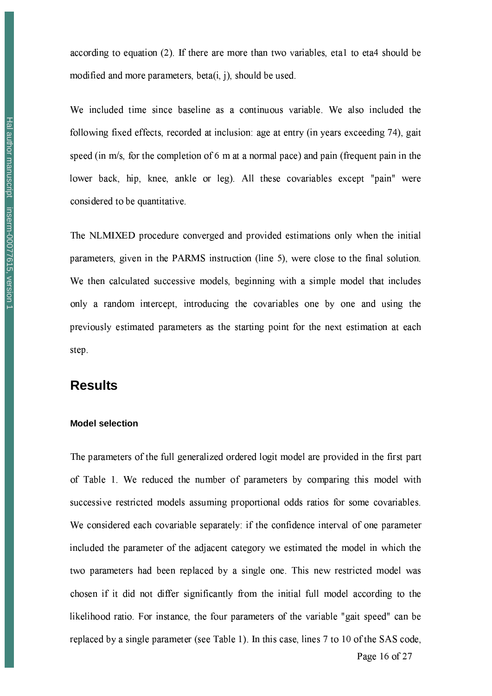according to equation (2). If there are more than two variables, etal to eta4 should be modified and more parameters, beta(i, j), should be used.

We included time since baseline as a continuous variable. We also included the following fixed effects, recorded at inclusion: age at entry (in years exceeding 74), gait speed (in m/s, for the completion of 6 m at a normal pace) and pain (frequent pain in the lower back, hip, knee, ankle or leg). All these covariables except "pain" were considered to be quantitative.

The NLMIXED procedure converged and provided estimations only when the initial parameters, given in the PARMS instruction (line 5), were close to the final solution. We then calculated successive models, beginning with a simple model that includes only a random intercept, introducing the covariables one by one and using the previously estimated parameters as the starting point for the next estimation at each step.

## **Results**

#### **Model selection**

The parameters of the full generalized ordered logit model are provided in the first part of Table 1. We reduced the number of parameters by comparing this model with successive restricted models assuming proportional odds ratios for some covariables. We considered each covariable separately: if the confidence interval of one parameter included the parameter of the adjacent category we estimated the model in which the two parameters had been replaced by a single one. This new restricted model was chosen if it did not differ significantly from the initial full model according to the likelihood ratio. For instance, the four parameters of the variable "gait speed" can be replaced by a single parameter (see Table 1). In this case, lines 7 to 10 of the SAS code,

Page 16 of 27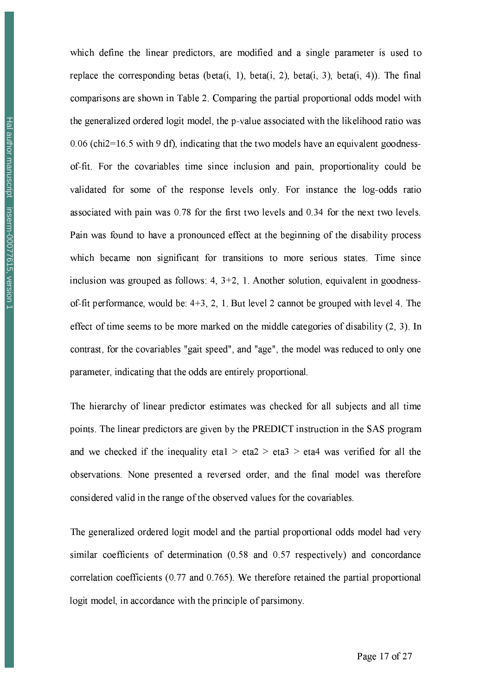which define the linear predictors, are modified and a single parameter is used to replace the corresponding betas (beta(i, 1), beta(i, 2), beta(i, 3), beta(i, 4)). The final comparisons are shown in Table 2. Comparing the partial proportional odds model with the generalized ordered logit model, the p-value associated with the likelihood ratio was  $0.06$  (chi $2=16.5$  with 9 df), indicating that the two models have an equivalent goodnessof-fit. For the covariables time since inclusion and pain, proportionality could be validated for some of the response levels only. For instance the log-odds ratio associated with pain was 0.78 for the first two levels and 0.34 for the next two levels. Pain was found to have a pronounced effect at the beginning of the disability process which became non significant for transitions to more serious states. Time since inclusion was grouped as follows:  $4, 3+2, 1$ . Another solution, equivalent in goodnessof-fit performance, would be:  $4+3$ , 2, 1. But level 2 cannot be grouped with level 4. The effect of time seems to be more marked on the middle categories of disability (2, 3). In contrast, for the covariables "gait speed", and "age", the model was reduced to only one parameter, indicating that the odds are entirely proportional.

The hierarchy of linear predictor estimates was checked for all subjects and all time points. The linear predictors are given by the PREDICT instruction in the SAS program and we checked if the inequality etal  $>$  eta $2 >$  eta $3 >$  eta $4$  was verified for all the observations. None presented a reversed order, and the final model was therefore considered valid in the range of the observed values for the covariables.

The generalized ordered logit model and the partial proportional odds model had very similar coefficients of determination (0.58 and 0.57 respectively) and concordance correlation coefficients  $(0.77$  and  $0.765)$ . We therefore retained the partial proportional logit model, in accordance with the principle of parsimony.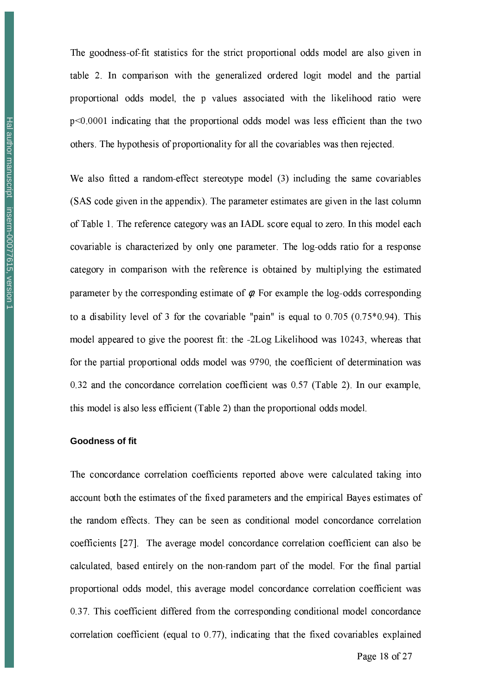The goodness-of-fit statistics for the strict proportional odds model are also given in table 2. In comparison with the generalized ordered logit model and the partial proportional odds model, the p values associated with the likelihood ratio were  $p<0.0001$  indicating that the proportional odds model was less efficient than the two others. The hypothesis of proportionality for all the covariables was then rejected.

We also fitted a random-effect stereotype model (3) including the same covariables (SAS code given in the appendix). The parameter estimates are given in the last column of Table 1. The reference category was an IADL score equal to zero. In this model each covariable is characterized by only one parameter. The log-odds ratio for a response category in comparison with the reference is obtained by multiplying the estimated parameter by the corresponding estimate of  $\phi$ . For example the log-odds corresponding to a disability level of 3 for the covariable "pain" is equal to  $0.705$  ( $0.75*0.94$ ). This model appeared to give the poorest fit: the -2Log Likelihood was 10243, whereas that for the partial proportional odds model was 9790, the coefficient of determination was 0.32 and the concordance correlation coefficient was 0.57 (Table 2). In our example, this model is also less efficient (Table 2) than the proportional odds model.

#### **Goodness of fit**

The concordance correlation coefficients reported above were calculated taking into account both the estimates of the fixed parameters and the empirical Bayes estimates of the random effects. They can be seen as conditional model concordance correlation coefficients [27]. The average model concordance correlation coefficient can also be calculated, based entirely on the non-random part of the model. For the final partial proportional odds model, this average model concordance correlation coefficient was 0.37. This coefficient differed from the corresponding conditional model concordance correlation coefficient (equal to 0.77), indicating that the fixed covariables explained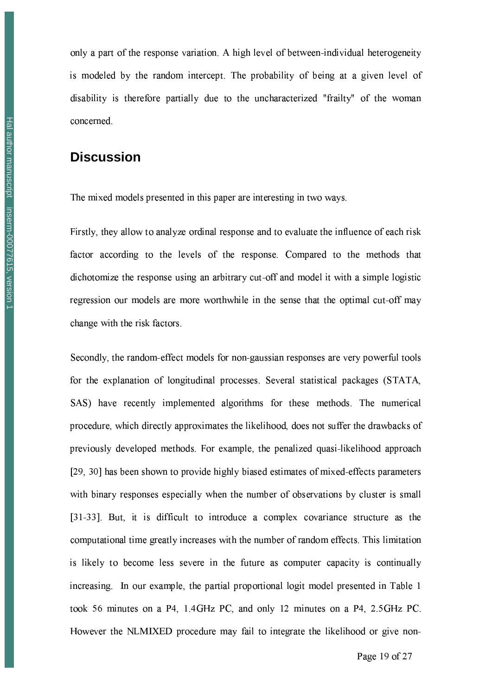only a part of the response variation. A high level of between-individual heterogeneity is modeled by the random intercept. The probability of being at a given level of disability is therefore partially due to the uncharacterized "frailty" of the woman concerned.

## **Discussion**

The mixed models presented in this paper are interesting in two ways.

Firstly, they allow to analyze ordinal response and to evaluate the influence of each risk factor according to the levels of the response. Compared to the methods that dichotomize the response using an arbitrary cut-off and model it with a simple logistic regression our models are more worthwhile in the sense that the optimal cut-off may change with the risk factors.

Secondly, the random-effect models for non-gaussian responses are very powerful tools for the explanation of longitudinal processes. Several statistical packages (STATA, SAS) have recently implemented algorithms for these methods. The numerical procedure, which directly approximates the likelihood, does not suffer the drawbacks of previously developed methods. For example, the penalized quasi-likelihood approach [29, 30] has been shown to provide highly biased estimates of mixed-effects parameters with binary responses especially when the number of observations by cluster is small [31-33]. But, it is difficult to introduce a complex covariance structure as the computational time greatly increases with the number of random effects. This limitation is likely to become less severe in the future as computer capacity is continually increasing. In our example, the partial proportional logit model presented in Table 1 took 56 minutes on a P4, 1.4GHz PC, and only 12 minutes on a P4, 2.5GHz PC. However the NLMIXED procedure may fail to integrate the likelihood or give non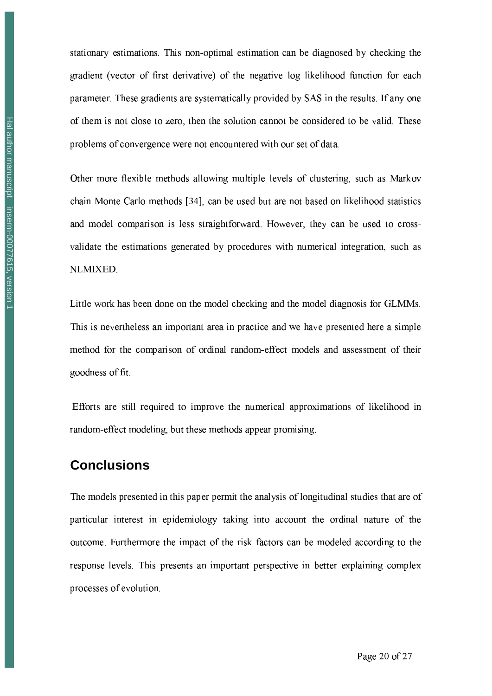gradient (vector of first derivative) of the negative log likelihood function for each parameter. These gradients are systematically provided by SAS in the results. If any one

of them is not close to zero, then the solution cannot be considered to be valid. These problems of convergence were not encountered with our set of data. Other more flexible methods allowing multiple levels of clustering, such as Markov chain Monte Carlo methods [34], can be used but are not based on likelihood statistics and model comparison is less straightforward. However, they can be used to cross-

stationary estimations. This non-optimal estimation can be diagnosed by checking the

# validate the estimations generated by procedures with numerical integration, such as NLMIXED.

Little work has been done on the model checking and the model diagnosis for GLMMs. This is nevertheless an important area in practice and we have presented here a simple method for the comparison of ordinal random-effect models and assessment of their goodness of fit.

Efforts are still required to improve the numerical approximations of likelihood in random-effect modeling, but these methods appear promising.

# **Conclusions**

The models presented in this paper permit the analysis of longitudinal studies that are of particular interest in epidemiology taking into account the ordinal nature of the outcome. Furthermore the impact of the risk factors can be modeled according to the response levels. This presents an important perspective in better explaining complex processes of evolution.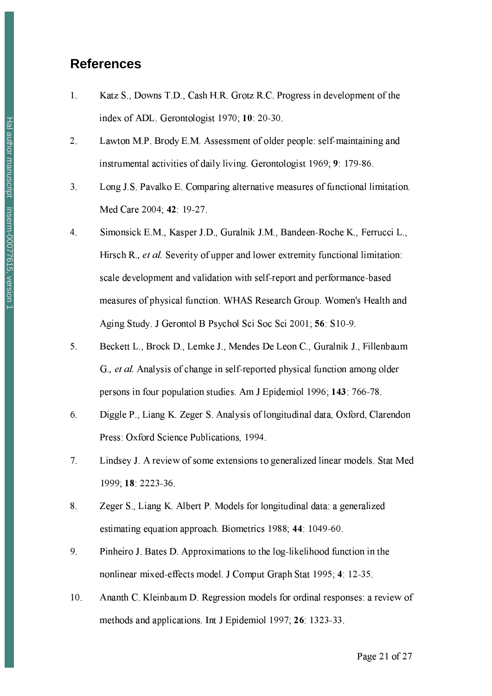## **References**

- $1<sup>1</sup>$ Katz S., Downs T.D., Cash H.R. Grotz R.C. Progress in development of the index of ADL. Gerontologist 1970; 10: 20-30.
- Lawton M.P. Brody E.M. Assessment of older people: self-maintaining and  $2<sub>1</sub>$ instrumental activities of daily living. Gerontologist 1969; 9: 179-86.
- $3<sub>1</sub>$ Long J.S. Pavalko E. Comparing alternative measures of functional limitation. Med Care 2004; 42: 19-27.
- Simonsick E.M., Kasper J.D., Guralnik J.M., Bandeen-Roche K., Ferrucci L.,  $\overline{4}$ . Hirsch R., *et al.* Severity of upper and lower extremity functional limitation: scale development and validation with self-report and performance-based measures of physical function. WHAS Research Group. Women's Health and Aging Study. J Gerontol B Psychol Sci Soc Sci 2001; 56: S10-9.
- Beckett L., Brock D., Lemke J., Mendes De Leon C., Guralnik J., Fillenbaum 5. G., et al. Analysis of change in self-reported physical function among older persons in four population studies. Am J Epidemiol 1996; 143: 766-78.
- 6. Diggle P., Liang K. Zeger S. Analysis of longitudinal data, Oxford, Clarendon Press: Oxford Science Publications, 1994.
- Lindsey J. A review of some extensions to generalized linear models. Stat Med  $7.$ 1999; 18: 2223-36.
- 8. Zeger S., Liang K. Albert P. Models for longitudinal data: a generalized estimating equation approach. Biometrics 1988; 44: 1049-60.
- 9. Pinheiro J. Bates D. Approximations to the log-likelihood function in the nonlinear mixed-effects model. J Comput Graph Stat 1995; 4: 12-35.
- $10.$ Ananth C. Kleinbaum D. Regression models for ordinal responses: a review of methods and applications. Int J Epidemiol 1997; 26: 1323-33.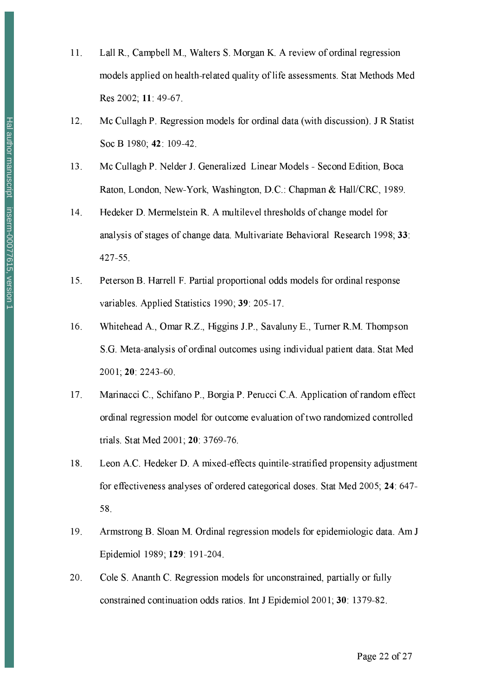- Lall R., Campbell M., Walters S. Morgan K. A review of ordinal regression  $11.$ models applied on health-related quality of life assessments. Stat Methods Med Res 2002; 11: 49-67.
- 12. Mc Cullagh P. Regression models for ordinal data (with discussion). J R Statist Soc B 1980; 42: 109-42.
- Mc Cullagh P. Nelder J. Generalized Linear Models Second Edition, Boca 13. Raton, London, New-York, Washington, D.C.: Chapman & Hall/CRC, 1989.
- 14. Hedeker D. Mermelstein R. A multilevel thresholds of change model for analysis of stages of change data. Multivariate Behavioral Research 1998; 33: 427-55.
- Peterson B. Harrell F. Partial proportional odds models for ordinal response 15. variables. Applied Statistics 1990; 39: 205-17.
- Whitehead A., Omar R.Z., Higgins J.P., Savaluny E., Turner R.M. Thompson 16. S.G. Meta-analysis of ordinal outcomes using individual patient data. Stat Med 2001; 20: 2243-60.
- 17. Marinacci C., Schifano P., Borgia P. Perucci C.A. Application of random effect ordinal regression model for outcome evaluation of two randomized controlled trials. Stat Med 2001; 20: 3769-76.
- Leon A.C. Hedeker D. A mixed-effects quintile-stratified propensity adjustment 18. for effectiveness analyses of ordered categorical doses. Stat Med 2005; 24: 647-58.
- 19. Armstrong B. Sloan M. Ordinal regression models for epidemiologic data. Am J Epidemiol 1989; 129: 191-204.
- 20. Cole S. Ananth C. Regression models for unconstrained, partially or fully constrained continuation odds ratios. Int J Epidemiol 2001; 30: 1379-82.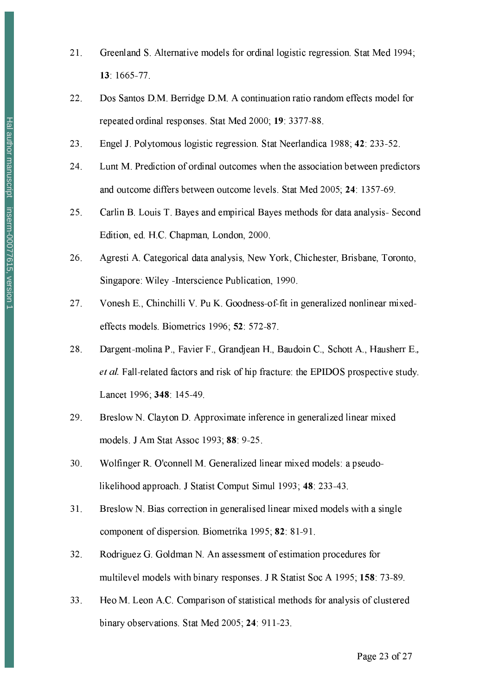- Greenland S. Alternative models for ordinal logistic regression. Stat Med 1994;  $21.$ 13 1665-77
- Dos Santos D.M. Berridge D.M. A continuation ratio random effects model for  $22.$ repeated ordinal responses. Stat Med 2000; 19: 3377-88.
- Engel J. Polytomous logistic regression. Stat Neerlandica 1988; 42: 233-52. 23.
- 24. Lunt M. Prediction of ordinal outcomes when the association between predictors and outcome differs between outcome levels. Stat Med 2005; 24: 1357-69.
- 25. Carlin B. Louis T. Bayes and empirical Bayes methods for data analysis- Second Edition, ed. H.C. Chapman, London, 2000.
- 26. Agresti A. Categorical data analysis, New York, Chichester, Brisbane, Toronto, Singapore: Wiley - Interscience Publication, 1990.
- $27<sub>1</sub>$ Vonesh E., Chinchilli V. Pu K. Goodness-of-fit in generalized nonlinear mixedeffects models. Biometrics 1996; 52: 572-87.
- Dargent-molina P., Favier F., Grandjean H., Baudoin C., Schott A., Hausherr E., 28. et al. Fall-related factors and risk of hip fracture: the EPIDOS prospective study. Lancet 1996; 348: 145-49.
- 29. Breslow N. Clayton D. Approximate inference in generalized linear mixed models. J Am Stat Assoc 1993; 88: 9-25.
- $30<sub>1</sub>$ Wolfinger R. O'connell M. Generalized linear mixed models: a pseudolikelihood approach. J Statist Comput Simul 1993; 48: 233-43.
- Breslow N. Bias correction in generalised linear mixed models with a single 31. component of dispersion. Biometrika 1995; 82: 81-91.
- 32. Rodriguez G. Goldman N. An assessment of estimation procedures for multilevel models with binary responses. J R Statist Soc A 1995; 158: 73-89.
- Heo M. Leon A.C. Comparison of statistical methods for analysis of clustered 33. binary observations. Stat Med 2005; 24: 911-23.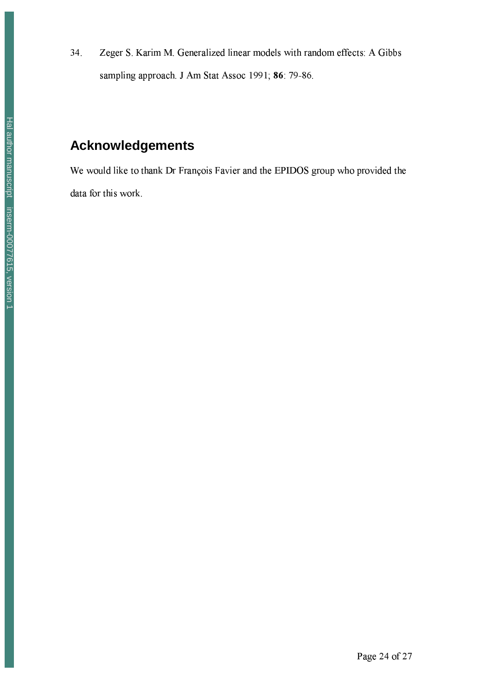Zeger S. Karim M. Generalized linear models with random effects: A Gibbs 34. sampling approach. J Am Stat Assoc 1991; 86: 79-86.

# **Acknowledgements**

We would like to thank Dr François Favier and the EPIDOS group who provided the data for this work.

Page 24 of 27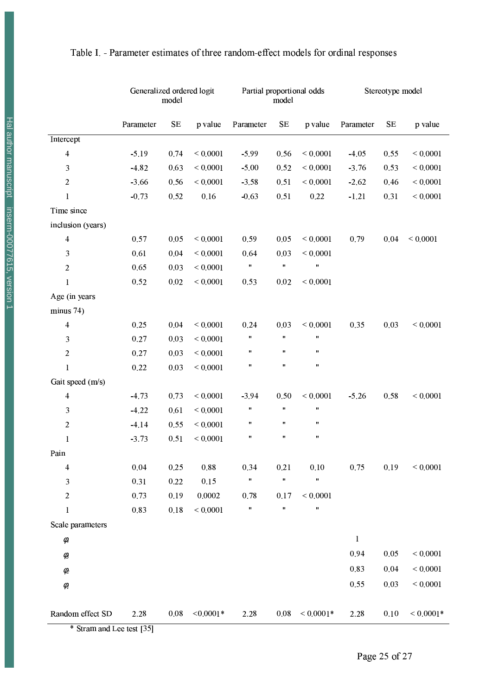|                         | Generalized ordered logit<br>model |          | Partial proportional odds<br>model |                    |          | Stereotype model   |              |          |               |
|-------------------------|------------------------------------|----------|------------------------------------|--------------------|----------|--------------------|--------------|----------|---------------|
|                         | Parameter                          | $\rm SE$ | p value                            | Parameter          | $\rm SE$ | p value            | Parameter    | $\rm SE$ | p value       |
| Intercept               |                                    |          |                                    |                    |          |                    |              |          |               |
| $\overline{\mathbf{4}}$ | $-5.19$                            | 0.74     | ${}< 0.0001$                       | $-5.99$            | 0.56     | ${}< 0.0001$       | $-4.05$      | 0.55     | ${}< 0.0001$  |
| 3                       | $-4.82$                            | 0.63     | ${}< 0.0001$                       | $-5.00$            | 0.52     | ${}< 0.0001$       | $-3.76$      | 0.53     | ${}< 0.0001$  |
| $\boldsymbol{2}$        | $-3.66$                            | 0.56     | ${}< 0.0001$                       | $-3.58$            | 0.51     | ${}< 0.0001$       | $-2.62$      | 0.46     | ${}_{0.0001}$ |
| 1                       | $-0.73$                            | 0.52     | 0.16                               | $-0.63$            | 0.51     | 0.22               | $-1.21$      | 0.31     | ${}_{0.0001}$ |
| Time since              |                                    |          |                                    |                    |          |                    |              |          |               |
| inclusion (years)       |                                    |          |                                    |                    |          |                    |              |          |               |
| $\overline{\mathbf{4}}$ | 0.57                               | 0.05     | ${}< 0.0001$                       | 0.59               | 0.05     | ${}< 0.0001$       | 0.79         | 0.04     | ${}< 0.0001$  |
| $\mathfrak{Z}$          | 0.61                               | 0.04     | ${}< 0.0001$                       | 0.64               | 0.03     | ${}< 0.0001$       |              |          |               |
| $\boldsymbol{2}$        | 0.65                               | 0.03     | ${}< 0.0001$                       | Ħ                  | Ħ        | Ħ                  |              |          |               |
| $\mathbf{1}$            | 0.52                               | 0.02     | ${}< 0.0001$                       | 0.53               | 0.02     | ${}< 0.0001$       |              |          |               |
| Age (in years           |                                    |          |                                    |                    |          |                    |              |          |               |
| minus 74)               |                                    |          |                                    |                    |          |                    |              |          |               |
| $\overline{\mathbf{4}}$ | 0.25                               | 0.04     | ${}< 0.0001$                       | 0.24               | 0.03     | ${}< 0.0001$       | 0.35         | 0.03     | ${}< 0.0001$  |
| $\mathfrak{Z}$          | 0.27                               | 0.03     | ${}< 0.0001$                       | $\pmb{\mathsf{H}}$ | Ħ        | $\pmb{\mathsf{H}}$ |              |          |               |
| $\boldsymbol{2}$        | 0.27                               | 0.03     | ${}< 0.0001$                       | $\pmb{\mathsf{H}}$ | Ħ        | $\pmb{\mathsf{H}}$ |              |          |               |
| $\mathbf{1}$            | 0.22                               | 0.03     | ${}< 0.0001$                       | $\pmb{\mathsf{H}}$ | Ħ        | $\pmb{\mathsf{H}}$ |              |          |               |
| Gait speed (m/s)        |                                    |          |                                    |                    |          |                    |              |          |               |
| $\overline{\mathbf{4}}$ | $-4.73$                            | 0.73     | ${}< 0.0001$                       | $-3.94$            | 0.50     | ${}< 0.0001$       | $-5.26$      | 0.58     | ${}_{0.0001}$ |
| $\mathfrak{Z}$          | $-4.22$                            | 0.61     | ${}< 0.0001$                       | $\pmb{\mathsf{H}}$ | Ħ        | $\pmb{\mathsf{H}}$ |              |          |               |
| $\boldsymbol{2}$        | $-4.14$                            | 0.55     | ${}< 0.0001$                       | $\pmb{\mathsf{H}}$ | Ħ        | $\pmb{\mathsf{H}}$ |              |          |               |
| $\mathbf{1}$            | $-3.73$                            | 0.51     | ${}< 0.0001$                       | Ħ                  | Ħ        | $\pmb{\mathsf{H}}$ |              |          |               |
| Pain                    |                                    |          |                                    |                    |          |                    |              |          |               |
| 4                       | 0.04                               | 0.25     | 0.88                               | 0.34               | 0.21     | $0.10\,$           | 0.75         | 0.19     | ${}_{0.0001}$ |
| $\mathfrak{Z}$          | 0.31                               | 0.22     | 0.15                               | $\pmb{\mathsf{H}}$ | Ħ        | Ħ                  |              |          |               |
| $\boldsymbol{2}$        | 0.73                               | 0.19     | 0.0002                             | 0.78               | 0.17     | ${}< 0.0001$       |              |          |               |
| $\mathbf{1}$            | 0.83                               | $0.18\,$ | ${}< 0.0001$                       | Ħ                  | Ħ        | Ħ                  |              |          |               |
| Scale parameters        |                                    |          |                                    |                    |          |                    |              |          |               |
| $\phi_4$                |                                    |          |                                    |                    |          |                    | $\mathbf{1}$ |          |               |
| $\phi_3$                |                                    |          |                                    |                    |          |                    | 0.94         | 0.05     | ${}_{0.0001}$ |
| $\phi_{\!2}$            |                                    |          |                                    |                    |          |                    | 0.83         | 0.04     | ${}< 0.0001$  |
| $\phi_{i}$              |                                    |          |                                    |                    |          |                    | 0.55         | 0.03     | ${}_{0.0001}$ |
|                         |                                    |          |                                    |                    |          |                    |              |          |               |
| Random effect SD        | 2.28                               | $0.08\,$ | $< 0.0001*$                        | 2.28               | 0.08     | ${}<0.0001*$       | 2.28         | 0.10     | ${}< 0.0001*$ |

\* Stram and Lee test [35]

Page 25 of 27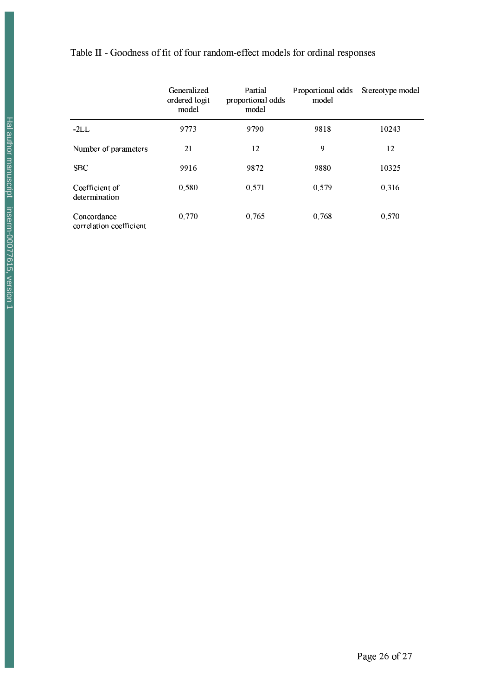## Table II - Goodness of fit of four random-effect models for ordinal responses

|                                        | Generalized<br>ordered logit<br>model | Partial<br>proportional odds<br>model | Proportional odds<br>model | Stereotype model |
|----------------------------------------|---------------------------------------|---------------------------------------|----------------------------|------------------|
| $-2LL$                                 | 9773                                  | 9790                                  | 9818                       | 10243            |
| Number of parameters                   | 21                                    | 12                                    | 9                          | 12               |
| <b>SBC</b>                             | 9916                                  | 9872                                  | 9880                       | 10325            |
| Coefficient of<br>determination        | 0.580                                 | 0.571                                 | 0.579                      | 0.316            |
| Concordance<br>correlation coefficient | 0.770                                 | 0.765                                 | 0.768                      | 0.570            |